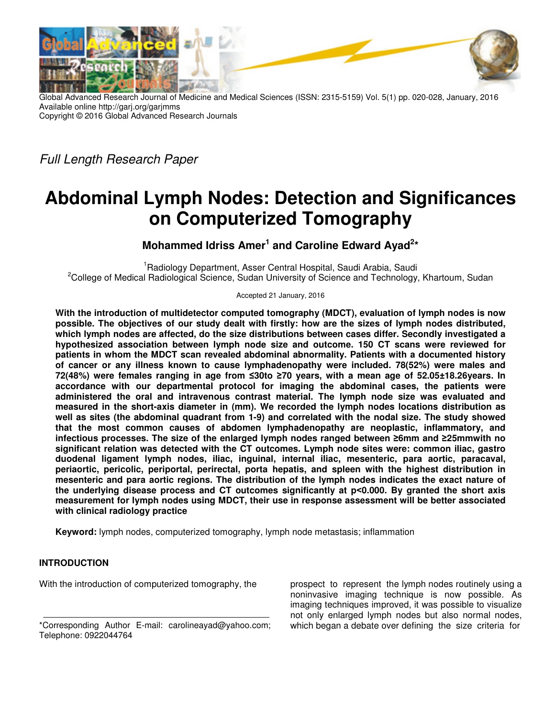

Global Advanced Research Journal of Medicine and Medical Sciences (ISSN: 2315-5159) Vol. 5(1) pp. 020-028, January, 2016 Available online http://garj.org/garjmms Copyright © 2016 Global Advanced Research Journals

Full Length Research Paper

# **Abdominal Lymph Nodes: Detection and Significances on Computerized Tomography**

Mohammed Idriss Amer<sup>1</sup> and Caroline Edward Ayad<sup>2\*</sup>

<sup>1</sup>Radiology Department, Asser Central Hospital, Saudi Arabia, Saudi <sup>2</sup>College of Medical Radiological Science, Sudan University of Science and Technology, Khartoum, Sudan

Accepted 21 January, 2016

**With the introduction of multidetector computed tomography (MDCT), evaluation of lymph nodes is now possible. The objectives of our study dealt with firstly: how are the sizes of lymph nodes distributed, which lymph nodes are affected, do the size distributions between cases differ. Secondly investigated a hypothesized association between lymph node size and outcome. 150 CT scans were reviewed for patients in whom the MDCT scan revealed abdominal abnormality. Patients with a documented history of cancer or any illness known to cause lymphadenopathy were included. 78(52%) were males and 72(48%) were females ranging in age from ≤30to ≥70 years, with a mean age of 52.05±18.26years. In accordance with our departmental protocol for imaging the abdominal cases, the patients were administered the oral and intravenous contrast material. The lymph node size was evaluated and measured in the short-axis diameter in (mm). We recorded the lymph nodes locations distribution as well as sites (the abdominal quadrant from 1-9) and correlated with the nodal size. The study showed that the most common causes of abdomen lymphadenopathy are neoplastic, inflammatory, and infectious processes. The size of the enlarged lymph nodes ranged between ≥6mm and ≥25mmwith no significant relation was detected with the CT outcomes. Lymph node sites were: common iliac, gastro duodenal ligament lymph nodes, iliac, inguinal, internal iliac, mesenteric, para aortic, paracaval, periaortic, pericolic, periportal, perirectal, porta hepatis, and spleen with the highest distribution in mesenteric and para aortic regions. The distribution of the lymph nodes indicates the exact nature of the underlying disease process and CT outcomes significantly at p˂0.000. By granted the short axis measurement for lymph nodes using MDCT, their use in response assessment will be better associated with clinical radiology practice** 

**Keyword:** lymph nodes, computerized tomography, lymph node metastasis; inflammation

# **INTRODUCTION**

With the introduction of computerized tomography, the

prospect to represent the lymph nodes routinely using a noninvasive imaging technique is now possible. As imaging techniques improved, it was possible to visualize not only enlarged lymph nodes but also normal nodes, which began a debate over defining the size criteria for

<sup>\*</sup>Corresponding Author E-mail: carolineayad@yahoo.com; Telephone: 0922044764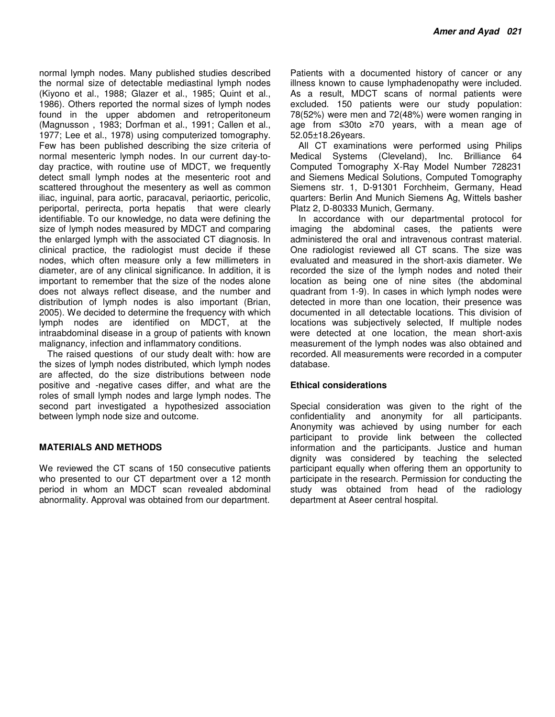normal lymph nodes. Many published studies described the normal size of detectable mediastinal lymph nodes (Kiyono et al., 1988; Glazer et al., 1985; Quint et al., 1986). Others reported the normal sizes of lymph nodes found in the upper abdomen and retroperitoneum (Magnusson , 1983; Dorfman et al., 1991; Callen et al., 1977; Lee et al., 1978) using computerized tomography. Few has been published describing the size criteria of normal mesenteric lymph nodes. In our current day-today practice, with routine use of MDCT, we frequently detect small lymph nodes at the mesenteric root and scattered throughout the mesentery as well as common iliac, inguinal, para aortic, paracaval, periaortic, pericolic, periportal, perirecta, porta hepatis that were clearly identifiable. To our knowledge, no data were defining the size of lymph nodes measured by MDCT and comparing the enlarged lymph with the associated CT diagnosis. In clinical practice, the radiologist must decide if these nodes, which often measure only a few millimeters in diameter, are of any clinical significance. In addition, it is important to remember that the size of the nodes alone does not always reflect disease, and the number and distribution of lymph nodes is also important (Brian, 2005). We decided to determine the frequency with which lymph nodes are identified on MDCT, at the intraabdominal disease in a group of patients with known malignancy, infection and inflammatory conditions.

The raised questions of our study dealt with: how are the sizes of lymph nodes distributed, which lymph nodes are affected, do the size distributions between node positive and -negative cases differ, and what are the roles of small lymph nodes and large lymph nodes. The second part investigated a hypothesized association between lymph node size and outcome.

# **MATERIALS AND METHODS**

We reviewed the CT scans of 150 consecutive patients who presented to our CT department over a 12 month period in whom an MDCT scan revealed abdominal abnormality. Approval was obtained from our department.

Patients with a documented history of cancer or any illness known to cause lymphadenopathy were included. As a result, MDCT scans of normal patients were excluded. 150 patients were our study population: 78(52%) were men and 72(48%) were women ranging in age from ≤30to ≥70 years, with a mean age of 52.05±18.26years.

All CT examinations were performed using Philips Medical Systems (Cleveland), Inc. Brilliance 64 Computed Tomography X-Ray Model Number 728231 and Siemens Medical Solutions, Computed Tomography Siemens str. 1, D-91301 Forchheim, Germany, Head quarters: Berlin And Munich Siemens Ag, Wittels basher Platz 2, D-80333 Munich, Germany.

In accordance with our departmental protocol for imaging the abdominal cases, the patients were administered the oral and intravenous contrast material. One radiologist reviewed all CT scans. The size was evaluated and measured in the short-axis diameter. We recorded the size of the lymph nodes and noted their location as being one of nine sites (the abdominal quadrant from 1-9). In cases in which lymph nodes were detected in more than one location, their presence was documented in all detectable locations. This division of locations was subjectively selected, If multiple nodes were detected at one location, the mean short-axis measurement of the lymph nodes was also obtained and recorded. All measurements were recorded in a computer database.

# **Ethical considerations**

Special consideration was given to the right of the confidentiality and anonymity for all participants. Anonymity was achieved by using number for each participant to provide link between the collected information and the participants. Justice and human dignity was considered by teaching the selected participant equally when offering them an opportunity to participate in the research. Permission for conducting the study was obtained from head of the radiology department at Aseer central hospital.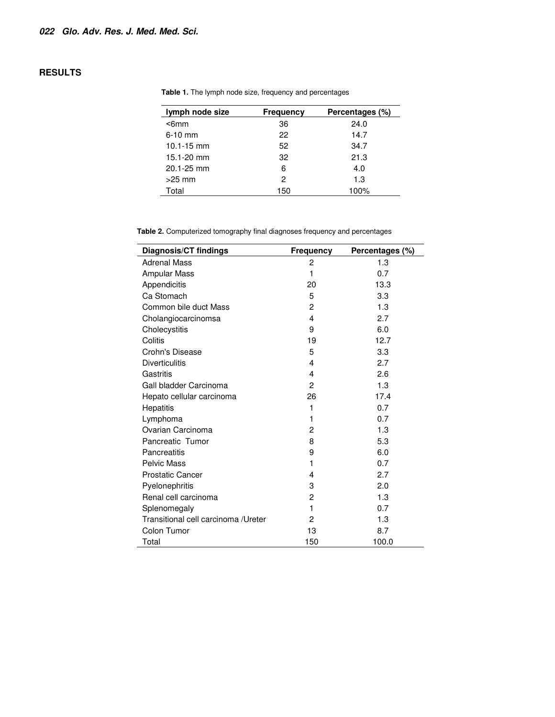# **RESULTS**

| lymph node size | <b>Frequency</b> | Percentages (%) |
|-----------------|------------------|-----------------|
| $6mm$           | 36               | 24.0            |
| $6-10$ mm       | 22               | 14.7            |
| $10.1 - 15$ mm  | 52               | 34.7            |
| 15.1-20 mm      | 32               | 21.3            |
| 20.1-25 mm      | 6                | 4.0             |
| $>25$ mm        | 2                | 1.3             |
| Total           | 150              | 100%            |

**Table 1.** The lymph node size, frequency and percentages

**Table 2.** Computerized tomography final diagnoses frequency and percentages

| <b>Diagnosis/CT findings</b>        | <b>Frequency</b> | Percentages (%) |
|-------------------------------------|------------------|-----------------|
| <b>Adrenal Mass</b>                 | 2                | 1.3             |
| <b>Ampular Mass</b>                 | 1                | 0.7             |
| Appendicitis                        | 20               | 13.3            |
| Ca Stomach                          | 5                | 3.3             |
| Common bile duct Mass               | $\overline{c}$   | 1.3             |
| Cholangiocarcinomsa                 | 4                | 2.7             |
| Cholecystitis                       | 9                | 6.0             |
| Colitis                             | 19               | 12.7            |
| Crohn's Disease                     | 5                | 3.3             |
| <b>Diverticulitis</b>               | 4                | 2.7             |
| Gastritis                           | 4                | 2.6             |
| Gall bladder Carcinoma              | $\overline{2}$   | 1.3             |
| Hepato cellular carcinoma           | 26               | 17.4            |
| Hepatitis                           | 1                | 0.7             |
| Lymphoma                            | 1                | 0.7             |
| Ovarian Carcinoma                   | $\overline{c}$   | 1.3             |
| Pancreatic Tumor                    | 8                | 5.3             |
| Pancreatitis                        | 9                | 6.0             |
| <b>Pelvic Mass</b>                  | 1                | 0.7             |
| <b>Prostatic Cancer</b>             | 4                | 2.7             |
| Pyelonephritis                      | 3                | 2.0             |
| Renal cell carcinoma                | 2                | 1.3             |
| Splenomegaly                        | 1                | 0.7             |
| Transitional cell carcinoma /Ureter | 2                | 1.3             |
| Colon Tumor                         | 13               | 8.7             |
| Total                               | 150              | 100.0           |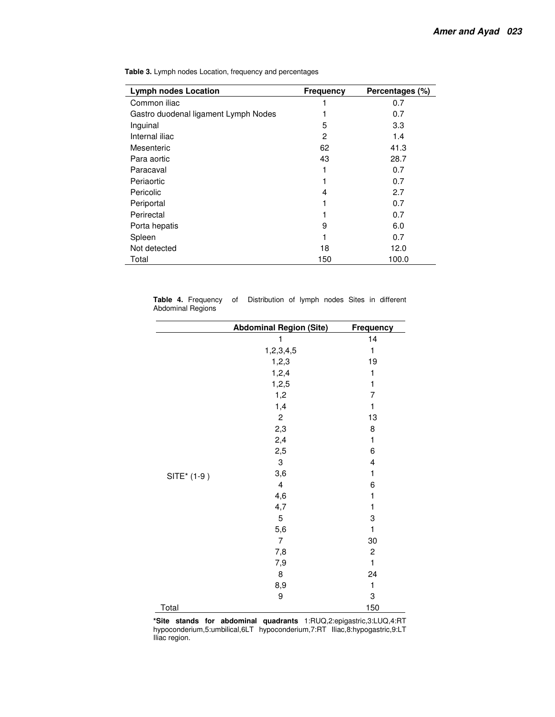| <b>Lymph nodes Location</b>          | <b>Frequency</b> | Percentages (%) |
|--------------------------------------|------------------|-----------------|
| Common iliac                         |                  | 0.7             |
| Gastro duodenal ligament Lymph Nodes |                  | 0.7             |
| Inguinal                             | 5                | 3.3             |
| Internal iliac                       | 2                | 1.4             |
| Mesenteric                           | 62               | 41.3            |
| Para aortic                          | 43               | 28.7            |
| Paracaval                            |                  | 0.7             |
| Periaortic                           |                  | 0.7             |
| Pericolic                            | 4                | 2.7             |
| Periportal                           |                  | 0.7             |
| Perirectal                           |                  | 0.7             |
| Porta hepatis                        | 9                | 6.0             |
| Spleen                               |                  | 0.7             |
| Not detected                         | 18               | 12.0            |
| Total                                | 150              | 100.0           |

**Table 3.** Lymph nodes Location, frequency and percentages

| Table 4. Frequency of | Distribution of lymph nodes Sites in different |  |  |  |
|-----------------------|------------------------------------------------|--|--|--|
| Abdominal Regions     |                                                |  |  |  |

|             | <b>Abdominal Region (Site)</b> | Frequency               |  |  |  |
|-------------|--------------------------------|-------------------------|--|--|--|
|             | 1                              | 14                      |  |  |  |
|             | 1,2,3,4,5                      | 1                       |  |  |  |
|             | 1,2,3                          | 19                      |  |  |  |
|             | 1,2,4                          | 1                       |  |  |  |
|             | 1,2,5                          | 1                       |  |  |  |
|             | 1,2                            | 7                       |  |  |  |
|             | 1,4                            | $\mathbf{1}$            |  |  |  |
|             | $\overline{c}$                 | 13                      |  |  |  |
|             | 2,3                            | 8                       |  |  |  |
| SITE* (1-9) | 2,4                            | $\mathbf{1}$            |  |  |  |
|             | 2,5                            | 6                       |  |  |  |
|             | $\ensuremath{\mathsf{3}}$      | $\overline{\mathbf{4}}$ |  |  |  |
|             | 3,6                            | 1                       |  |  |  |
|             | $\overline{\mathbf{4}}$        | 6                       |  |  |  |
|             | 4,6                            | 1                       |  |  |  |
|             | 4,7                            | $\mathbf{1}$            |  |  |  |
|             | $\mathbf 5$                    | 3                       |  |  |  |
|             | 5,6                            | 1                       |  |  |  |
|             | $\overline{7}$                 | 30                      |  |  |  |
|             | 7,8                            | $\overline{c}$          |  |  |  |
|             | 7,9                            | 1                       |  |  |  |
|             | $\bf 8$                        | 24                      |  |  |  |
|             | 8,9                            | $\mathbf{1}$            |  |  |  |
|             | 9                              | 3                       |  |  |  |
| Total       |                                | 150                     |  |  |  |

**\*Site stands for abdominal quadrants** 1:RUQ,2:epigastric,3:LUQ,4:RT hypoconderium,5:umbilical,6LT hypoconderium,7:RT Iliac,8:hypogastric,9:LT Iliac region.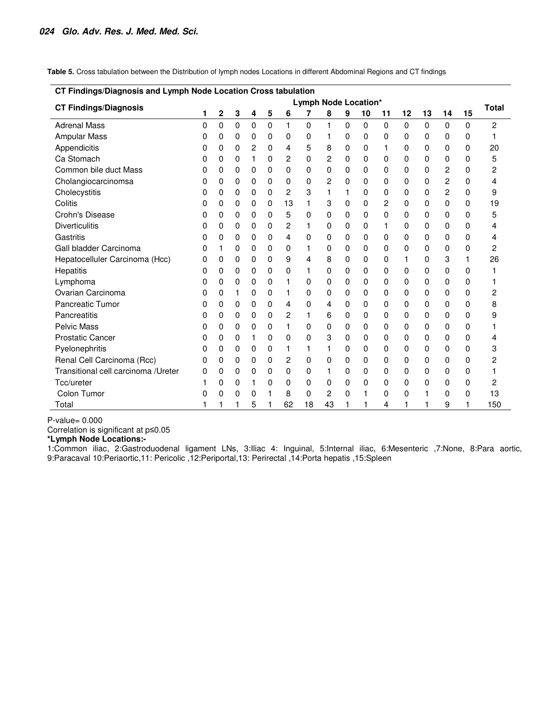**Table 5.** Cross tabulation between the Distribution of lymph nodes Locations in different Abdominal Regions and CT findings

| CT Findings/Diagnosis and Lymph Node Location Cross tabulation |                      |   |             |   |   |    |    |    |   |          |              |          |          |                         |          |     |
|----------------------------------------------------------------|----------------------|---|-------------|---|---|----|----|----|---|----------|--------------|----------|----------|-------------------------|----------|-----|
| <b>CT Findings/Diagnosis</b>                                   | Lymph Node Location* |   |             |   |   |    |    |    |   |          | <b>Total</b> |          |          |                         |          |     |
|                                                                | 1                    | 2 | 3           | 4 | 5 | 6  |    | 8  | 9 | 10       | 11           | 12       | 13       | 14                      | 15       |     |
| <b>Adrenal Mass</b>                                            | 0                    | 0 | $\mathbf 0$ | 0 | 0 | 1  | 0  | 1  | 0 | $\Omega$ | 0            | $\Omega$ | $\Omega$ | $\Omega$                | $\Omega$ | 2   |
| <b>Ampular Mass</b>                                            | 0                    | 0 | 0           | 0 | 0 | 0  | 0  | 1  | 0 | 0        | 0            | 0        | 0        | 0                       | 0        | 1   |
| Appendicitis                                                   | 0                    | 0 | 0           | 2 | 0 | 4  | 5  | 8  | 0 | 0        | 1            | 0        | 0        | 0                       | 0        | 20  |
| Ca Stomach                                                     | 0                    | 0 | 0           | 1 | 0 | 2  | 0  | 2  | 0 | 0        | 0            | 0        | 0        | 0                       | 0        | 5   |
| Common bile duct Mass                                          | 0                    | 0 | 0           | 0 | 0 | 0  | 0  | 0  | 0 | 0        | 0            | 0        | 0        | 2                       | 0        | 2   |
| Cholangiocarcinomsa                                            | 0                    | 0 | 0           | 0 | 0 | 0  | 0  | 2  | 0 | 0        | 0            | 0        | 0        | $\overline{c}$          | 0        | 4   |
| Cholecystitis                                                  | 0                    | 0 | 0           | 0 | 0 | 2  | 3  | 1  | 1 | 0        | 0            | 0        | 0        | $\overline{\mathbf{c}}$ | 0        | 9   |
| Colitis                                                        | 0                    | 0 | 0           | 0 | 0 | 13 | 1  | 3  | 0 | 0        | 2            | 0        | 0        | 0                       | 0        | 19  |
| Crohn's Disease                                                | 0                    | 0 | 0           | 0 | 0 | 5  | 0  | 0  | 0 | 0        | 0            | 0        | 0        | 0                       | 0        | 5   |
| <b>Diverticulitis</b>                                          | 0                    | 0 | 0           | 0 | 0 | 2  | 1  | 0  | 0 | 0        | 1            | 0        | 0        | 0                       | 0        | 4   |
| Gastritis                                                      | 0                    | 0 | 0           | 0 | 0 | 4  | 0  | 0  | 0 | 0        | 0            | 0        | 0        | 0                       | 0        | 4   |
| Gall bladder Carcinoma                                         | 0                    |   | 0           | 0 | 0 | 0  | 1  | 0  | 0 | 0        | 0            | 0        | 0        | 0                       | 0        | 2   |
| Hepatocelluler Carcinoma (Hcc)                                 | 0                    | 0 | 0           | 0 | 0 | 9  | 4  | 8  | 0 | 0        | 0            | 1        | 0        | 3                       | 1        | 26  |
| Hepatitis                                                      | 0                    | 0 | 0           | 0 | 0 | 0  | 1  | 0  | 0 | 0        | 0            | 0        | 0        | 0                       | 0        | 1   |
| Lymphoma                                                       | 0                    | 0 | 0           | 0 | 0 | 1  | 0  | 0  | 0 | 0        | 0            | 0        | 0        | 0                       | 0        | 1   |
| Ovarian Carcinoma                                              | 0                    | 0 | 1           | 0 | 0 | 1  | 0  | 0  | 0 | 0        | 0            | 0        | 0        | 0                       | 0        | 2   |
| <b>Pancreatic Tumor</b>                                        | 0                    | 0 | 0           | 0 | 0 | 4  | 0  | 4  | 0 | 0        | 0            | 0        | 0        | 0                       | 0        | 8   |
| Pancreatitis                                                   | 0                    | 0 | 0           | 0 | 0 | 2  | 1  | 6  | 0 | 0        | 0            | 0        | 0        | 0                       | 0        | 9   |
| <b>Pelvic Mass</b>                                             | 0                    | 0 | 0           | 0 | 0 | 1  | 0  | 0  | 0 | 0        | 0            | 0        | 0        | 0                       | 0        | 1   |
| <b>Prostatic Cancer</b>                                        | 0                    | 0 | 0           |   | 0 | 0  | 0  | 3  | 0 | 0        | 0            | 0        | 0        | 0                       | 0        | 4   |
| Pyelonephritis                                                 | 0                    | 0 | 0           | 0 | 0 | 1  | 1  | 1  | 0 | 0        | 0            | 0        | 0        | 0                       | 0        | 3   |
| Renal Cell Carcinoma (Rcc)                                     | 0                    | 0 | 0           | 0 | 0 | 2  | 0  | 0  | 0 | 0        | 0            | 0        | 0        | 0                       | 0        | 2   |
| Transitional cell carcinoma /Ureter                            | 0                    | 0 | 0           | 0 | 0 | 0  | 0  | 1  | 0 | 0        | 0            | 0        | 0        | 0                       | 0        |     |
| Tcc/ureter                                                     | 1                    | 0 | 0           | 1 | 0 | 0  | 0  | 0  | 0 | 0        | 0            | 0        | 0        | 0                       | 0        | 2   |
| Colon Tumor                                                    | 0                    | 0 | 0           | 0 | 1 | 8  | 0  | 2  | 0 | 1        | 0            | 0        | 1        | 0                       | 0        | 13  |
| Total                                                          |                      |   | 1           | 5 | 1 | 62 | 18 | 43 | 1 | 1        | 4            |          | 1        | 9                       |          | 150 |

P-value= 0.000

Correlation is significant at p≤0.05

**\*Lymph Node Locations:-** 

1:Common iliac, 2:Gastroduodenal ligament LNs, 3:Iliac 4: Inguinal, 5:Internal iliac, 6:Mesenteric ,7:None, 8:Para aortic, 9:Paracaval 10:Periaortic,11: Pericolic ,12:Periportal,13: Perirectal ,14:Porta hepatis ,15:Spleen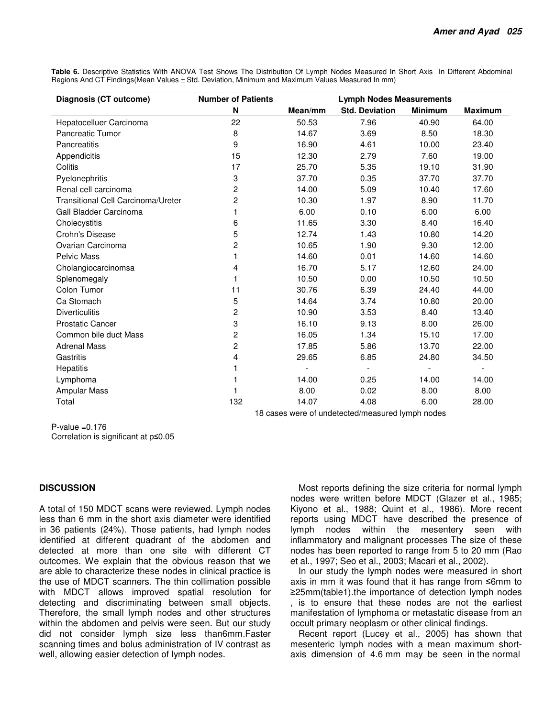**Table 6.** Descriptive Statistics With ANOVA Test Shows The Distribution Of Lymph Nodes Measured In Short Axis In Different Abdominal Regions And CT Findings(Mean Values ± Std. Deviation, Minimum and Maximum Values Measured In mm)

| Diagnosis (CT outcome)             | <b>Number of Patients</b> | <b>Lymph Nodes Measurements</b>                  |                       |                |                          |  |  |  |  |
|------------------------------------|---------------------------|--------------------------------------------------|-----------------------|----------------|--------------------------|--|--|--|--|
|                                    | N                         | Mean/mm                                          | <b>Std. Deviation</b> | <b>Minimum</b> | <b>Maximum</b>           |  |  |  |  |
| Hepatocelluer Carcinoma            | 22                        | 50.53                                            | 7.96                  | 40.90          | 64.00                    |  |  |  |  |
| Pancreatic Tumor                   | 8                         | 14.67                                            | 3.69                  | 8.50           | 18.30                    |  |  |  |  |
| Pancreatitis                       | 9                         | 16.90                                            | 4.61                  | 10.00          | 23.40                    |  |  |  |  |
| Appendicitis                       | 15                        | 12.30                                            | 2.79                  | 7.60           | 19.00                    |  |  |  |  |
| Colitis                            | 17                        | 25.70                                            | 5.35                  | 19.10          | 31.90                    |  |  |  |  |
| Pyelonephritis                     | 3                         | 37.70                                            | 0.35                  | 37.70          | 37.70                    |  |  |  |  |
| Renal cell carcinoma               | $\overline{c}$            | 14.00                                            | 5.09                  | 10.40          | 17.60                    |  |  |  |  |
| Transitional Cell Carcinoma/Ureter | $\overline{c}$            | 10.30                                            | 1.97                  | 8.90           | 11.70                    |  |  |  |  |
| Gall Bladder Carcinoma             | 1                         | 6.00                                             | 0.10                  | 6.00           | 6.00                     |  |  |  |  |
| Cholecystitis                      | 6                         | 11.65                                            | 3.30                  | 8.40           | 16.40                    |  |  |  |  |
| Crohn's Disease                    | 5                         | 12.74                                            | 1.43                  | 10.80          | 14.20                    |  |  |  |  |
| Ovarian Carcinoma                  | $\overline{c}$            | 10.65                                            | 1.90                  | 9.30           | 12.00                    |  |  |  |  |
| <b>Pelvic Mass</b>                 | 1                         | 14.60                                            | 0.01                  | 14.60          | 14.60                    |  |  |  |  |
| Cholangiocarcinomsa                | 4                         | 16.70                                            | 5.17                  | 12.60          | 24.00                    |  |  |  |  |
| Splenomegaly                       | 1                         | 10.50                                            | 0.00                  | 10.50          | 10.50                    |  |  |  |  |
| Colon Tumor                        | 11                        | 30.76                                            | 6.39                  | 24.40          | 44.00                    |  |  |  |  |
| Ca Stomach                         | 5                         | 14.64                                            | 3.74                  | 10.80          | 20.00                    |  |  |  |  |
| <b>Diverticulitis</b>              | 2                         | 10.90                                            | 3.53                  | 8.40           | 13.40                    |  |  |  |  |
| <b>Prostatic Cancer</b>            | 3                         | 16.10                                            | 9.13                  | 8.00           | 26.00                    |  |  |  |  |
| Common bile duct Mass              | $\overline{c}$            | 16.05                                            | 1.34                  | 15.10          | 17.00                    |  |  |  |  |
| <b>Adrenal Mass</b>                | 2                         | 17.85                                            | 5.86                  | 13.70          | 22.00                    |  |  |  |  |
| Gastritis                          | 4                         | 29.65                                            | 6.85                  | 24.80          | 34.50                    |  |  |  |  |
| Hepatitis                          | 1                         |                                                  |                       |                | $\overline{\phantom{a}}$ |  |  |  |  |
| Lymphoma                           | 1                         | 14.00                                            | 0.25                  | 14.00          | 14.00                    |  |  |  |  |
| <b>Ampular Mass</b>                |                           | 8.00                                             | 0.02                  | 8.00           | 8.00                     |  |  |  |  |
| Total                              | 132                       | 14.07                                            | 4.08                  | 6.00           | 28.00                    |  |  |  |  |
|                                    |                           | 18 cases were of undetected/measured lymph nodes |                       |                |                          |  |  |  |  |

 $P$ -value =  $0.176$ Correlation is significant at p≤0.05

# **DISCUSSION**

A total of 150 MDCT scans were reviewed. Lymph nodes less than 6 mm in the short axis diameter were identified in 36 patients (24%). Those patients, had lymph nodes identified at different quadrant of the abdomen and detected at more than one site with different CT outcomes. We explain that the obvious reason that we are able to characterize these nodes in clinical practice is the use of MDCT scanners. The thin collimation possible with MDCT allows improved spatial resolution for detecting and discriminating between small objects. Therefore, the small lymph nodes and other structures within the abdomen and pelvis were seen. But our study did not consider lymph size less than6mm.Faster scanning times and bolus administration of IV contrast as well, allowing easier detection of lymph nodes.

Most reports defining the size criteria for normal lymph nodes were written before MDCT (Glazer et al., 1985; Kiyono et al., 1988; Quint et al., 1986). More recent reports using MDCT have described the presence of lymph nodes within the mesentery seen with inflammatory and malignant processes The size of these nodes has been reported to range from 5 to 20 mm (Rao et al., 1997; Seo et al., 2003; Macari et al., 2002).

In our study the lymph nodes were measured in short axis in mm it was found that it has range from ≤6mm to ≥25mm(table1).the importance of detection lymph nodes , is to ensure that these nodes are not the earliest manifestation of lymphoma or metastatic disease from an occult primary neoplasm or other clinical findings.

Recent report (Lucey et al., 2005) has shown that mesenteric lymph nodes with a mean maximum shortaxis dimension of 4.6 mm may be seen in the normal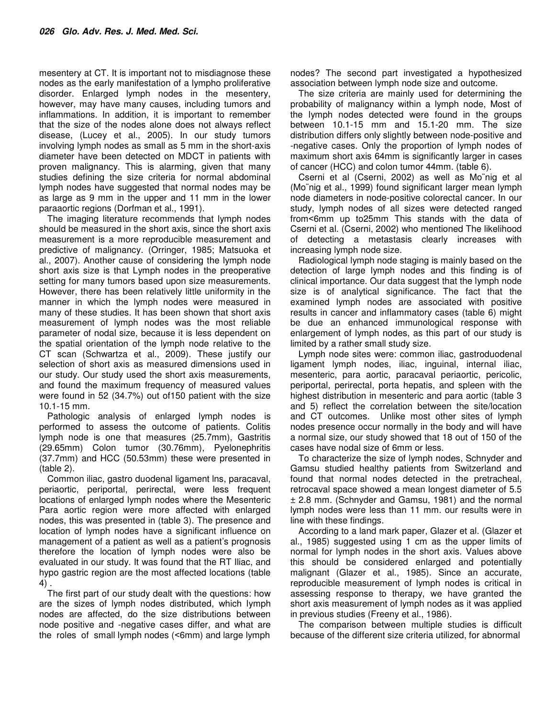mesentery at CT. It is important not to misdiagnose these nodes as the early manifestation of a lympho proliferative disorder. Enlarged lymph nodes in the mesentery, however, may have many causes, including tumors and inflammations. In addition, it is important to remember that the size of the nodes alone does not always reflect disease, (Lucey et al., 2005). In our study tumors involving lymph nodes as small as 5 mm in the short-axis diameter have been detected on MDCT in patients with proven malignancy. This is alarming, given that many studies defining the size criteria for normal abdominal lymph nodes have suggested that normal nodes may be as large as 9 mm in the upper and 11 mm in the lower paraaortic regions (Dorfman et al., 1991).

The imaging literature recommends that lymph nodes should be measured in the short axis, since the short axis measurement is a more reproducible measurement and predictive of malignancy. (Orringer, 1985; Matsuoka et al., 2007). Another cause of considering the lymph node short axis size is that Lymph nodes in the preoperative setting for many tumors based upon size measurements. However, there has been relatively little uniformity in the manner in which the lymph nodes were measured in many of these studies. It has been shown that short axis measurement of lymph nodes was the most reliable parameter of nodal size, because it is less dependent on the spatial orientation of the lymph node relative to the CT scan (Schwartza et al., 2009). These justify our selection of short axis as measured dimensions used in our study. Our study used the short axis measurements, and found the maximum frequency of measured values were found in 52 (34.7%) out of150 patient with the size 10.1-15 mm.

Pathologic analysis of enlarged lymph nodes is performed to assess the outcome of patients. Colitis lymph node is one that measures (25.7mm), Gastritis (29.65mm) Colon tumor (30.76mm), Pyelonephritis (37.7mm) and HCC (50.53mm) these were presented in (table 2).

Common iliac, gastro duodenal ligament lns, paracaval, periaortic, periportal, perirectal, were less frequent locations of enlarged lymph nodes where the Mesenteric Para aortic region were more affected with enlarged nodes, this was presented in (table 3). The presence and location of lymph nodes have a significant influence on management of a patient as well as a patient's prognosis therefore the location of lymph nodes were also be evaluated in our study. It was found that the RT Iliac, and hypo gastric region are the most affected locations (table 4) .

The first part of our study dealt with the questions: how are the sizes of lymph nodes distributed, which lymph nodes are affected, do the size distributions between node positive and -negative cases differ, and what are the roles of small lymph nodes (˂6mm) and large lymph nodes? The second part investigated a hypothesized association between lymph node size and outcome.

The size criteria are mainly used for determining the probability of malignancy within a lymph node, Most of the lymph nodes detected were found in the groups between 10.1-15 mm and 15.1-20 mm. The size distribution differs only slightly between node-positive and -negative cases. Only the proportion of lymph nodes of maximum short axis 64mm is significantly larger in cases of cancer (HCC) and colon tumor 44mm. (table 6).

Cserni et al (Cserni, 2002) as well as Mo¨nig et al (Mo¨nig et al., 1999) found significant larger mean lymph node diameters in node-positive colorectal cancer. In our study, lymph nodes of all sizes were detected ranged from˂6mm up to25mm This stands with the data of Cserni et al. (Cserni, 2002) who mentioned The likelihood of detecting a metastasis clearly increases with increasing lymph node size.

Radiological lymph node staging is mainly based on the detection of large lymph nodes and this finding is of clinical importance. Our data suggest that the lymph node size is of analytical significance. The fact that the examined lymph nodes are associated with positive results in cancer and inflammatory cases (table 6) might be due an enhanced immunological response with enlargement of lymph nodes, as this part of our study is limited by a rather small study size.

Lymph node sites were: common iliac, gastroduodenal ligament lymph nodes, iliac, inguinal, internal iliac, mesenteric, para aortic, paracaval periaortic, pericolic, periportal, perirectal, porta hepatis, and spleen with the highest distribution in mesenteric and para aortic (table 3 and 5) reflect the correlation between the site/location and CT outcomes. Unlike most other sites of lymph nodes presence occur normally in the body and will have a normal size, our study showed that 18 out of 150 of the cases have nodal size of 6mm or less.

To characterize the size of lymph nodes, Schnyder and Gamsu studied healthy patients from Switzerland and found that normal nodes detected in the pretracheal, retrocaval space showed a mean longest diameter of 5.5 ± 2.8 mm. (Schnyder and Gamsu, 1981) and the normal lymph nodes were less than 11 mm. our results were in line with these findings.

According to a land mark paper, Glazer et al. (Glazer et al., 1985) suggested using 1 cm as the upper limits of normal for lymph nodes in the short axis. Values above this should be considered enlarged and potentially malignant (Glazer et al., 1985). Since an accurate, reproducible measurement of lymph nodes is critical in assessing response to therapy, we have granted the short axis measurement of lymph nodes as it was applied in previous studies (Freeny et al., 1986).

The comparison between multiple studies is difficult because of the different size criteria utilized, for abnormal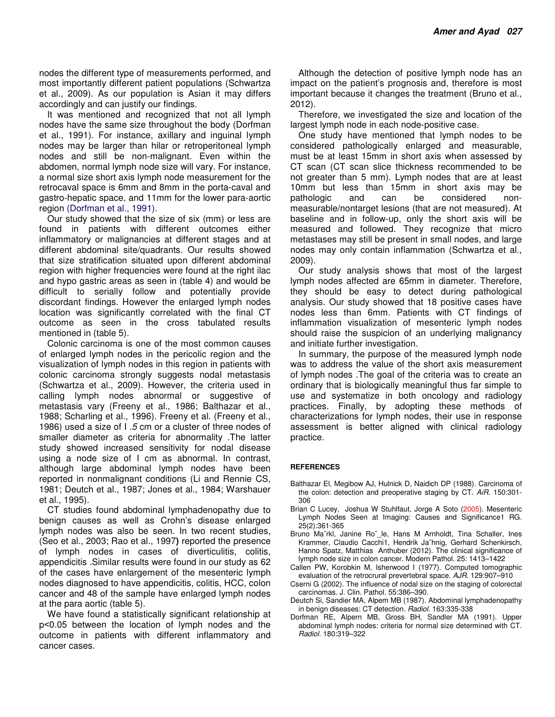nodes the different type of measurements performed, and most importantly different patient populations (Schwartza et al., 2009). As our population is Asian it may differs accordingly and can justify our findings.

It was mentioned and recognized that not all lymph nodes have the same size throughout the body (Dorfman et al., 1991). For instance, axillary and inguinal lymph nodes may be larger than hilar or retroperitoneal lymph nodes and still be non-malignant. Even within the abdomen, normal lymph node size will vary. For instance, a normal size short axis lymph node measurement for the retrocaval space is 6mm and 8mm in the porta-caval and gastro-hepatic space, and 11mm for the lower para-aortic region (Dorfman et al., 1991).

Our study showed that the size of six (mm) or less are found in patients with different outcomes either inflammatory or malignancies at different stages and at different abdominal site/quadrants. Our results showed that size stratification situated upon different abdominal region with higher frequencies were found at the right ilac and hypo gastric areas as seen in (table 4) and would be difficult to serially follow and potentially provide discordant findings. However the enlarged lymph nodes location was significantly correlated with the final CT outcome as seen in the cross tabulated results mentioned in (table 5).

Colonic carcinoma is one of the most common causes of enlarged lymph nodes in the pericolic region and the visualization of lymph nodes in this region in patients with colonic carcinoma strongly suggests nodal metastasis (Schwartza et al., 2009). However, the criteria used in calling lymph nodes abnormal or suggestive of metastasis vary (Freeny et al., 1986; Balthazar et al., 1988; Scharling et al., 1996). Freeny et al. (Freeny et al., 1986) used a size of I .5 cm or a cluster of three nodes of smaller diameter as criteria for abnormality .The latter study showed increased sensitivity for nodal disease using a node size of I cm as abnormal. In contrast, although large abdominal lymph nodes have been reported in nonmalignant conditions (Li and Rennie CS, 1981; Deutch et al., 1987; Jones et al., 1984; Warshauer et al., 1995).

CT studies found abdominal lymphadenopathy due to benign causes as well as Crohn's disease enlarged lymph nodes was also be seen. In two recent studies, (Seo et al., 2003; Rao et al., 1997**)** reported the presence of lymph nodes in cases of diverticulitis, colitis, appendicitis .Similar results were found in our study as 62 of the cases have enlargement of the mesenteric lymph nodes diagnosed to have appendicitis, colitis, HCC, colon cancer and 48 of the sample have enlarged lymph nodes at the para aortic (table 5).

We have found a statistically significant relationship at p˂0.05 between the location of lymph nodes and the outcome in patients with different inflammatory and cancer cases.

Although the detection of positive lymph node has an impact on the patient's prognosis and, therefore is most important because it changes the treatment (Bruno et al., 2012).

Therefore, we investigated the size and location of the largest lymph node in each node-positive case.

One study have mentioned that lymph nodes to be considered pathologically enlarged and measurable, must be at least 15mm in short axis when assessed by CT scan (CT scan slice thickness recommended to be not greater than 5 mm). Lymph nodes that are at least 10mm but less than 15mm in short axis may be pathologic and can be considered nonmeasurable/nontarget lesions (that are not measured). At baseline and in follow-up, only the short axis will be measured and followed. They recognize that micro metastases may still be present in small nodes, and large nodes may only contain inflammation (Schwartza et al., 2009).

Our study analysis shows that most of the largest lymph nodes affected are 65mm in diameter. Therefore, they should be easy to detect during pathological analysis. Our study showed that 18 positive cases have nodes less than 6mm. Patients with CT findings of inflammation visualization of mesenteric lymph nodes should raise the suspicion of an underlying malignancy and initiate further investigation.

In summary, the purpose of the measured lymph node was to address the value of the short axis measurement of lymph nodes .The goal of the criteria was to create an ordinary that is biologically meaningful thus far simple to use and systematize in both oncology and radiology practices. Finally, by adopting these methods of characterizations for lymph nodes, their use in response assessment is better aligned with clinical radiology practice.

#### **REFERENCES**

- Balthazar El, Megibow AJ, Hulnick D, Naidich DP (1988). Carcinoma of the colon: detection and preoperative staging by CT. AiR. 150:301- 306
- Brian C Lucey, Joshua W Stuhlfaut, Jorge A Soto (2005). Mesenteric Lymph Nodes Seen at Imaging: Causes and Significance1 RG. 25(2):361-365
- Bruno Ma¨rkl, Janine Ro¨\_le, Hans M Arnholdt, Tina Schaller, Ines Krammer, Claudio Cacchi1, Hendrik Ja¨hnig, Gerhard Schenkirsch, Hanno Spatz, Matthias Anthuber (2012). The clinical significance of lymph node size in colon cancer. Modern Pathol. 25: 1413–1422
- Callen PW, Korobkin M, Isherwood I (1977). Computed tomographic evaluation of the retrocrural prevertebral space. AJR. 129:907–910
- Cserni G (2002). The influence of nodal size on the staging of colorectal carcinomas. J. Clin. Pathol. 55:386–390.
- Deutch Si, Sandier MA, Alpem MB (1987). Abdominal lymphadenopathy in benign diseases: CT detection. Radiol. 163:335-338
- Dorfman RE, Alpern MB, Gross BH, Sandler MA (1991). Upper abdominal lymph nodes: criteria for normal size determined with CT. Radiol. 180:319–322